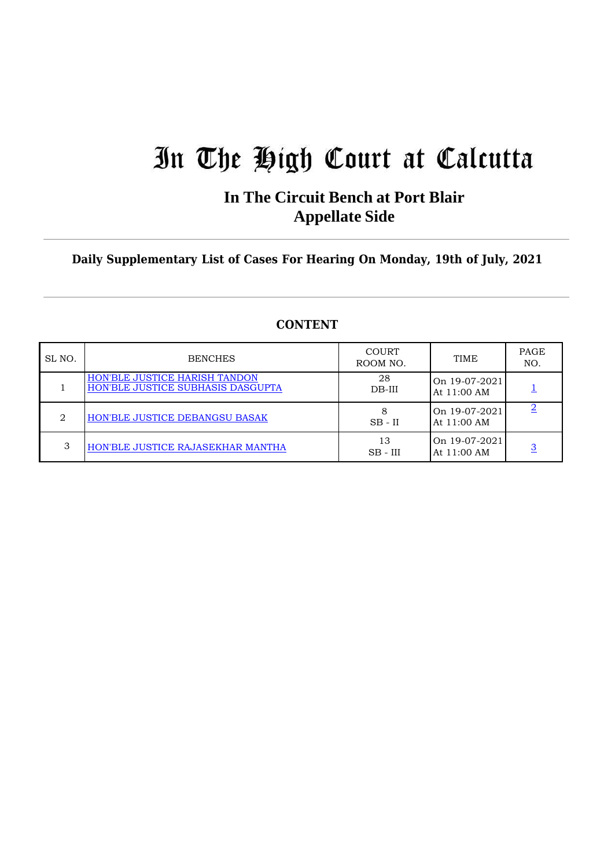# In The High Court at Calcutta

### **In The Circuit Bench at Port Blair Appellate Side**

**Daily Supplementary List of Cases For Hearing On Monday, 19th of July, 2021**

| SL NO. | <b>BENCHES</b>                                                            | COURT<br>ROOM NO. | <b>TIME</b>                    | PAGE<br>NO. |
|--------|---------------------------------------------------------------------------|-------------------|--------------------------------|-------------|
|        | <b>HON'BLE JUSTICE HARISH TANDON</b><br>HON'BLE JUSTICE SUBHASIS DASGUPTA | 28<br>$DB-III$    | On 19-07-2021<br>At 11:00 AM   |             |
| ∩      | HON'BLE JUSTICE DEBANGSU BASAK                                            | $SB - II$         | On 19-07-2021<br>At $11:00$ AM |             |
| 3      | HON'BLE JUSTICE RAJASEKHAR MANTHA                                         | 13<br>$SB - III$  | On 19-07-2021<br>At 11:00 AM   |             |

#### **CONTENT**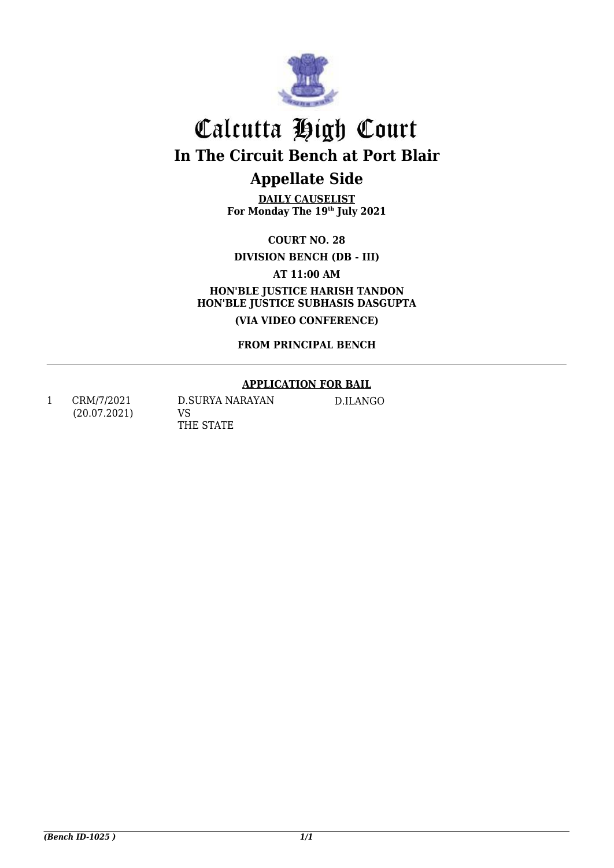

## Calcutta High Court **In The Circuit Bench at Port Blair**

## **Appellate Side**

**DAILY CAUSELIST For Monday The 19th July 2021**

**COURT NO. 28**

**DIVISION BENCH (DB - III)** 

**AT 11:00 AM HON'BLE JUSTICE HARISH TANDON HON'BLE JUSTICE SUBHASIS DASGUPTA**

**(VIA VIDEO CONFERENCE)**

**FROM PRINCIPAL BENCH**

#### **APPLICATION FOR BAIL**

<span id="page-1-1"></span><span id="page-1-0"></span>1 CRM/7/2021 (20.07.2021) D.SURYA NARAYAN VS THE STATE

D.ILANGO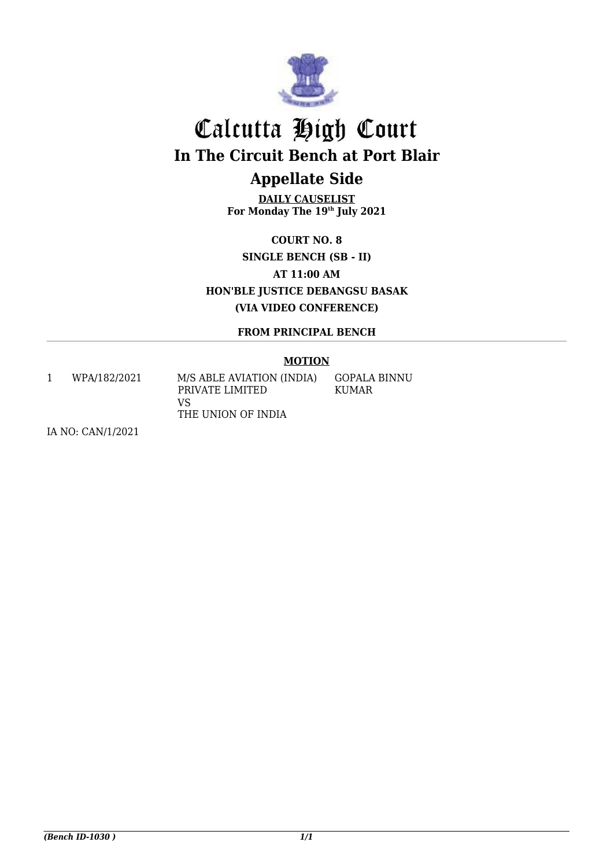

# Calcutta High Court **In The Circuit Bench at Port Blair**

## **Appellate Side**

**DAILY CAUSELIST For Monday The 19th July 2021**

**COURT NO. 8 SINGLE BENCH (SB - II) AT 11:00 AM HON'BLE JUSTICE DEBANGSU BASAK (VIA VIDEO CONFERENCE)**

### **FROM PRINCIPAL BENCH**

### **MOTION**

<span id="page-2-1"></span><span id="page-2-0"></span>1 WPA/182/2021 M/S ABLE AVIATION (INDIA)

PRIVATE LIMITED VS THE UNION OF INDIA GOPALA BINNU KUMAR

IA NO: CAN/1/2021